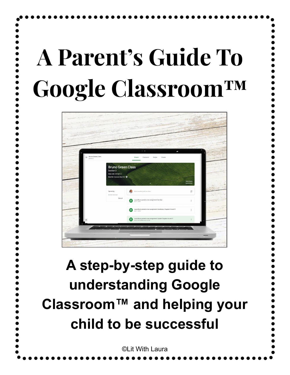# **A Parent's Guide To Google Classroom™**



### **A step-by-step guide to understanding Google Classroom™ and helping your child to be successful**

©Lit With Laura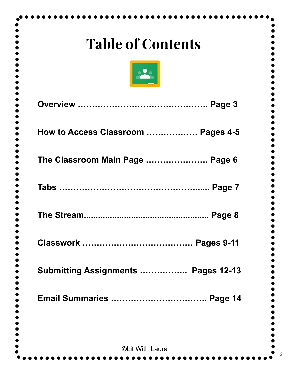| <b>Table of Contents</b>            |
|-------------------------------------|
| $\frac{1}{2}$                       |
|                                     |
| How to Access Classroom  Pages 4-5  |
| The Classroom Main Page  Page 6     |
|                                     |
| Page 8                              |
| <b>Pages 9-11</b>                   |
| Submitting Assignments  Pages 12-13 |
| <b>Email Summaries  Page 14</b>     |
|                                     |
| ©Lit With Laura                     |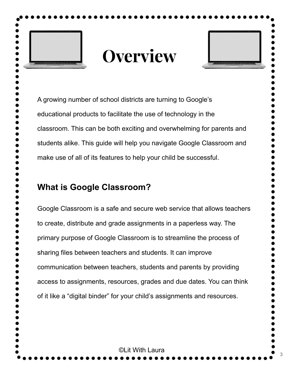

### **Overview**



3

A growing number of school districts are turning to Google's educational products to facilitate the use of technology in the classroom. This can be both exciting and overwhelming for parents and students alike. This guide will help you navigate Google Classroom and make use of all of its features to help your child be successful.

#### **What is Google Classroom?**

Google Classroom is a safe and secure web service that allows teachers to create, distribute and grade assignments in a paperless way. The primary purpose of Google Classroom is to streamline the process of sharing files between teachers and students. It can improve communication between teachers, students and parents by providing access to assignments, resources, grades and due dates. You can think of it like a "digital binder" for your child's assignments and resources.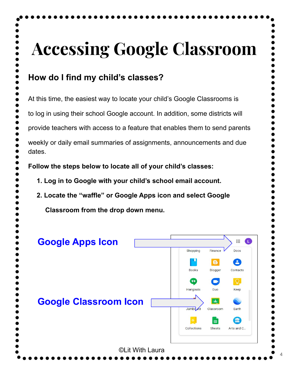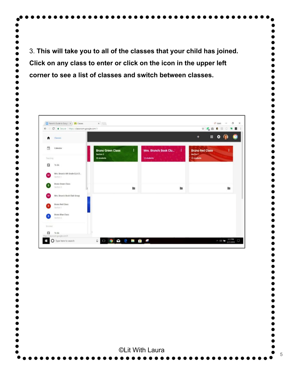3. **This will take you to all of the classes that your child has joined. Click on any class to enter or click on the icon in the upper left corner to see a list of classes and switch between classes.** 



©Lit With Laura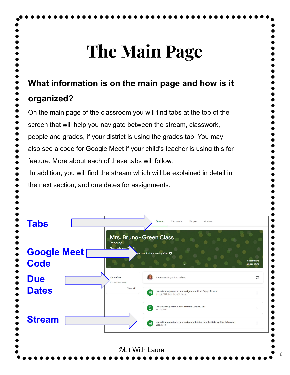## **The Main Page**

#### **What information is on the main page and how is it**

#### **organized?**

On the main page of the classroom you will find tabs at the top of the

screen that will help you navigate between the stream, classwork,

people and grades, if your district is using the grades tab. You may

also see a code for Google Meet if your child's teacher is using this for

feature. More about each of these tabs will follow.

In addition, you will find the stream which will be explained in detail in

the next section, and due dates for assignments.

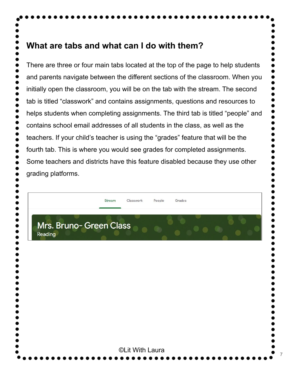#### **What are tabs and what can I do with them?**

There are three or four main tabs located at the top of the page to help students and parents navigate between the different sections of the classroom. When you initially open the classroom, you will be on the tab with the stream. The second tab is titled "classwork" and contains assignments, questions and resources to helps students when completing assignments. The third tab is titled "people" and contains school email addresses of all students in the class, as well as the teachers. If your child's teacher is using the "grades" feature that will be the fourth tab. This is where you would see grades for completed assignments. Some teachers and districts have this feature disabled because they use other grading platforms.

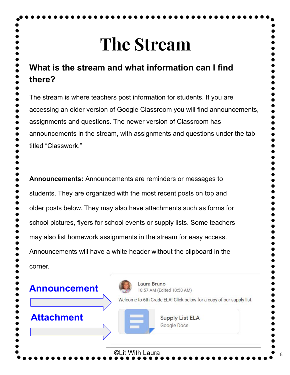### **The Stream**

### **What is the stream and what information can I find there?**

The stream is where teachers post information for students. If you are accessing an older version of Google Classroom you will find announcements, assignments and questions. The newer version of Classroom has announcements in the stream, with assignments and questions under the tab titled "Classwork."

**Announcements:** Announcements are reminders or messages to students. They are organized with the most recent posts on top and older posts below. They may also have attachments such as forms for school pictures, flyers for school events or supply lists. Some teachers may also list homework assignments in the stream for easy access. Announcements will have a white header without the clipboard in the corner.

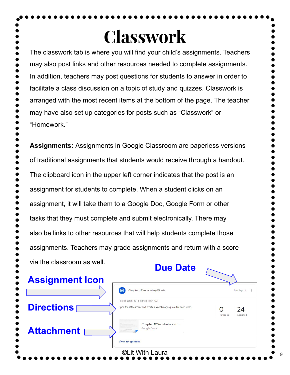### **Classwork**

The classwork tab is where you will find your child's assignments. Teachers may also post links and other resources needed to complete assignments. In addition, teachers may post questions for students to answer in order to facilitate a class discussion on a topic of study and quizzes. Classwork is arranged with the most recent items at the bottom of the page. The teacher may have also set up categories for posts such as "Classwork" or "Homework."

**Assignments:** Assignments in Google Classroom are paperless versions of traditional assignments that students would receive through a handout. The clipboard icon in the upper left corner indicates that the post is an assignment for students to complete. When a student clicks on an assignment, it will take them to a Google Doc, Google Form or other tasks that they must complete and submit electronically. There may also be links to other resources that will help students complete those assignments. Teachers may grade assignments and return with a score via the classroom as well.

| <b>Due Date</b>                                                                                           |                                  |
|-----------------------------------------------------------------------------------------------------------|----------------------------------|
| 自<br>Chapter 17 Vocabulary Words                                                                          | Due Sep 14                       |
| Posted Jun 6, 2018 (Edited 11:24 AM)<br>Open the attachment and create a vocabulary square for each word. | 24<br>O<br>Turned in<br>Assigned |
| Chapter 17 Vocabulary an<br>Google Docs                                                                   |                                  |
|                                                                                                           | View assignment                  |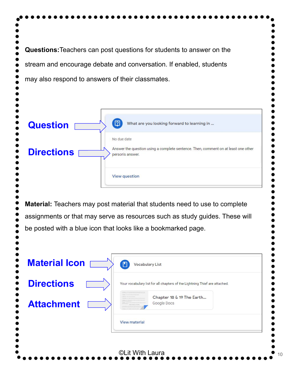**Questions:**Teachers can post questions for students to answer on the stream and encourage debate and conversation. If enabled, students may also respond to answers of their classmates.  $\left( \nabla \right)$ What are you looking forward to learning in ... **Question** No due date Answer the question using a complete sentence. Then, comment on at least one other **Directions** person's answer. **View question Material:** Teachers may post material that students need to use to complete assignments or that may serve as resources such as study guides. These will be posted with a blue icon that looks like a bookmarked page. **Material Icon**  $\Box$ **Vocabulary List Directions** Your vocabulary list for all chapters of the Lightning Thief are attached. Chapter 18 & 19 The Earth... **Attachment** Google Docs **View material** ©Lit With Laura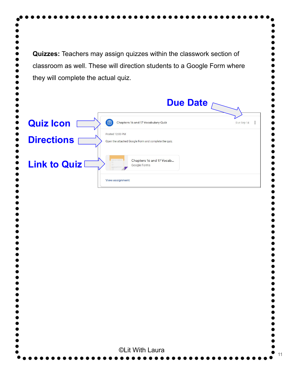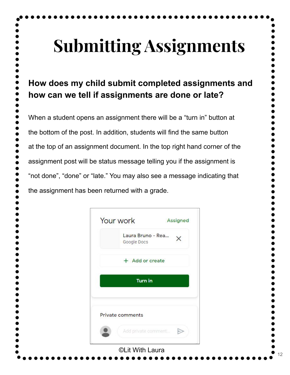# **Submitting Assignments**

### **How does my child submit completed assignments and how can we tell if assignments are done or late?**

When a student opens an assignment there will be a "turn in" button at the bottom of the post. In addition, students will find the same button at the top of an assignment document. In the top right hand corner of the assignment post will be status message telling you if the assignment is "not done", "done" or "late." You may also see a message indicating that the assignment has been returned with a grade.

| Your work                        | Assigned |
|----------------------------------|----------|
| Laura Bruno - Rea<br>Google Docs |          |
| + Add or create                  |          |
| <b>Turn in</b>                   |          |
| Private comments                 |          |
| Add private comment              |          |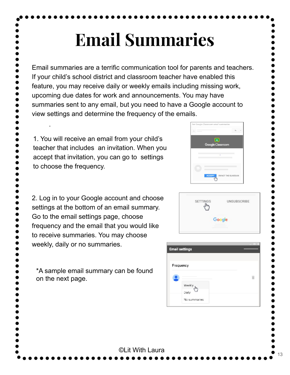# **Email Summaries**

Email summaries are a terrific communication tool for parents and teachers. If your child's school district and classroom teacher have enabled this feature, you may receive daily or weekly emails including missing work, upcoming due dates for work and announcements. You may have summaries sent to any email, but you need to have a Google account to view settings and determine the frequency of the emails.

©Lit With Laura

1. You will receive an email from your child's teacher that includes an invitation. When you accept that invitation, you can go to settings to choose the frequency.

.

2. Log in to your Google account and choose settings at the bottom of an email summary. Go to the email settings page, choose frequency and the email that you would like to receive summaries. You may choose weekly, daily or no summaries.

\*A sample email summary can be found on the next page.